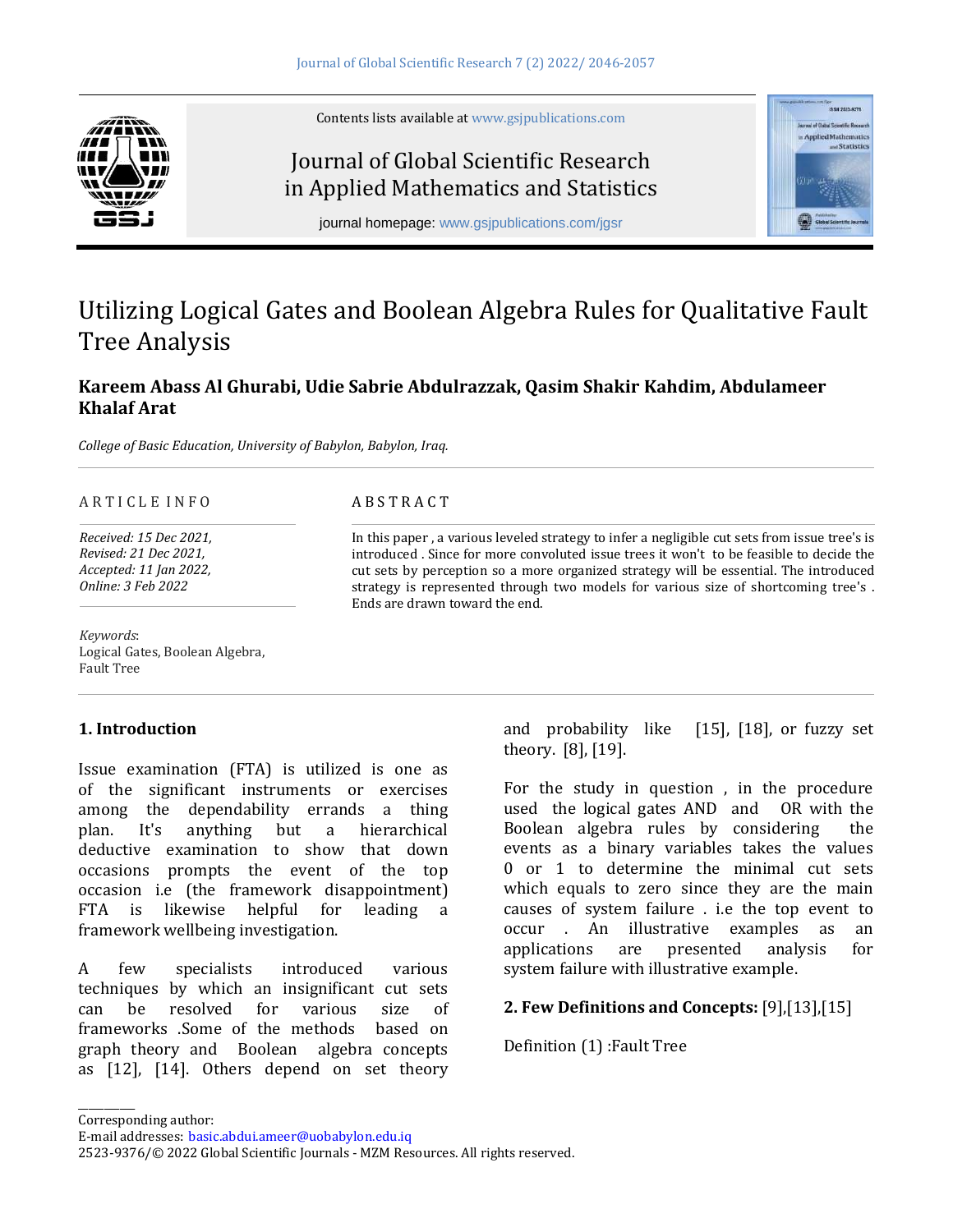

# Journal of Global Scientific Research in Applied Mathematics and Statistics



journal homepage: [www.gsjpublications.com/](http://www.gsjpublications.com/)jgsr

# Utilizing Logical Gates and Boolean Algebra Rules for Qualitative Fault Tree Analysis

# **Kareem Abass Al Ghurabi, Udie Sabrie Abdulrazzak, Qasim Shakir Kahdim, Abdulameer Khalaf Arat**

A B S T R A C T

*College of Basic Education, University of Babylon, Babylon, Iraq.*

#### A R T I C L E I N F O

*Received: 15 Dec 2021, Revised: 21 Dec 2021, Accepted: 11 Jan 2022, Online: 3 Feb 2022*

*Keywords*: Logical Gates, Boolean Algebra, Fault Tree

## **1. Introduction**

Issue examination (FTA) is utilized is one as of the significant instruments or exercises among the dependability errands a thing plan. It's anything but a hierarchical deductive examination to show that down occasions prompts the event of the top occasion i.e (the framework disappointment) FTA is likewise helpful for leading a framework wellbeing investigation.

A few specialists introduced various techniques by which an insignificant cut sets can be resolved for various size of frameworks .Some of the methods based on graph theory and Boolean algebra concepts as [12], [14]. Others depend on set theory

strategy is represented through two models for various size of shortcoming tree's . Ends are drawn toward the end.

In this paper , a various leveled strategy to infer a negligible cut sets from issue tree's is introduced . Since for more convoluted issue trees it won't to be feasible to decide the cut sets by perception so a more organized strategy will be essential. The introduced

> and probability like [15], [18], or fuzzy set theory. [8], [19].

> For the study in question , in the procedure used the logical gates AND and OR with the Boolean algebra rules by considering the events as a binary variables takes the values 0 or 1 to determine the minimal cut sets which equals to zero since they are the main causes of system failure . i.e the top event to occur . An illustrative examples as an applications are presented analysis for system failure with illustrative example.

## **2. Few Definitions and Concepts:** [9],[13],[15]

Definition (1) :Fault Tree

\_\_\_\_\_\_\_\_\_\_\_

Corresponding author:

E-mail addresses: [basic.abdui.ameer@uobabylon.edu.iq](mailto:basic.abdui.ameer@uobabylon.edu.iq)

<sup>2523-9376/© 2022</sup> Global Scientific Journals - MZM Resources. All rights reserved.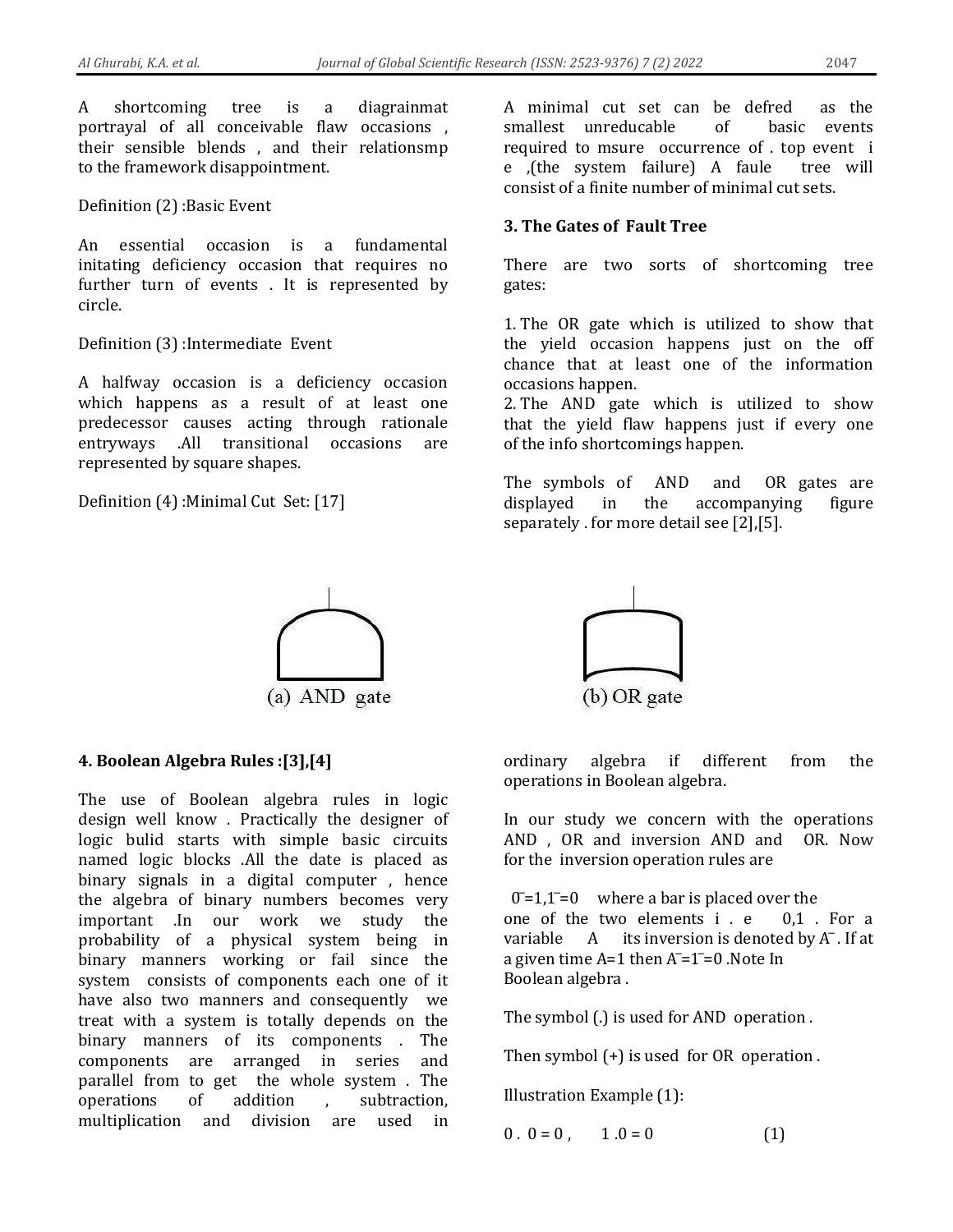A shortcoming tree is a diagrainmat portrayal of all conceivable flaw occasions , their sensible blends , and their relationsmp to the framework disappointment.

#### Definition (2) :Basic Event

An essential occasion is a fundamental initating deficiency occasion that requires no further turn of events . It is represented by circle.

#### Definition (3) :Intermediate Event

A halfway occasion is a deficiency occasion which happens as a result of at least one predecessor causes acting through rationale entryways .All transitional occasions are represented by square shapes.

Definition (4) :Minimal Cut Set: [17]



A minimal cut set can be defred as the smallest unreducable of basic events required to msure occurrence of . top event i e ,(the system failure) A faule tree will consist of a finite number of minimal cut sets.

#### **3. The Gates of Fault Tree**

There are two sorts of shortcoming tree gates:

1. The OR gate which is utilized to show that the yield occasion happens just on the off chance that at least one of the information occasions happen.

2. The AND gate which is utilized to show that the yield flaw happens just if every one of the info shortcomings happen.

The symbols of AND and OR gates are displayed in the accompanying figure separately . for more detail see [2],[5].

# (b) OR gate

#### **4. Boolean Algebra Rules :[3],[4]**

The use of Boolean algebra rules in logic design well know . Practically the designer of logic bulid starts with simple basic circuits named logic blocks .All the date is placed as binary signals in a digital computer , hence the algebra of binary numbers becomes very important .In our work we study the probability of a physical system being in binary manners working or fail since the system consists of components each one of it have also two manners and consequently we treat with a system is totally depends on the binary manners of its components . The components are arranged in series and parallel from to get the whole system . The operations of addition , subtraction, multiplication and division are used in

ordinary algebra if different from the operations in Boolean algebra.

In our study we concern with the operations AND , OR and inversion AND and OR. Now for the inversion operation rules are

 $0 = 1,1 = 0$  where a bar is placed over the one of the two elements i . e 0,1 . For a variable  $A$  its inversion is denoted by  $A^-$ . If at a given time  $A=1$  then  $A=1$  =0 .Note In Boolean algebra .

The symbol (.) is used for AND operation .

Then symbol (+) is used for OR operation .

Illustration Example (1):

 $0.0 = 0, 1.0 = 0$  (1)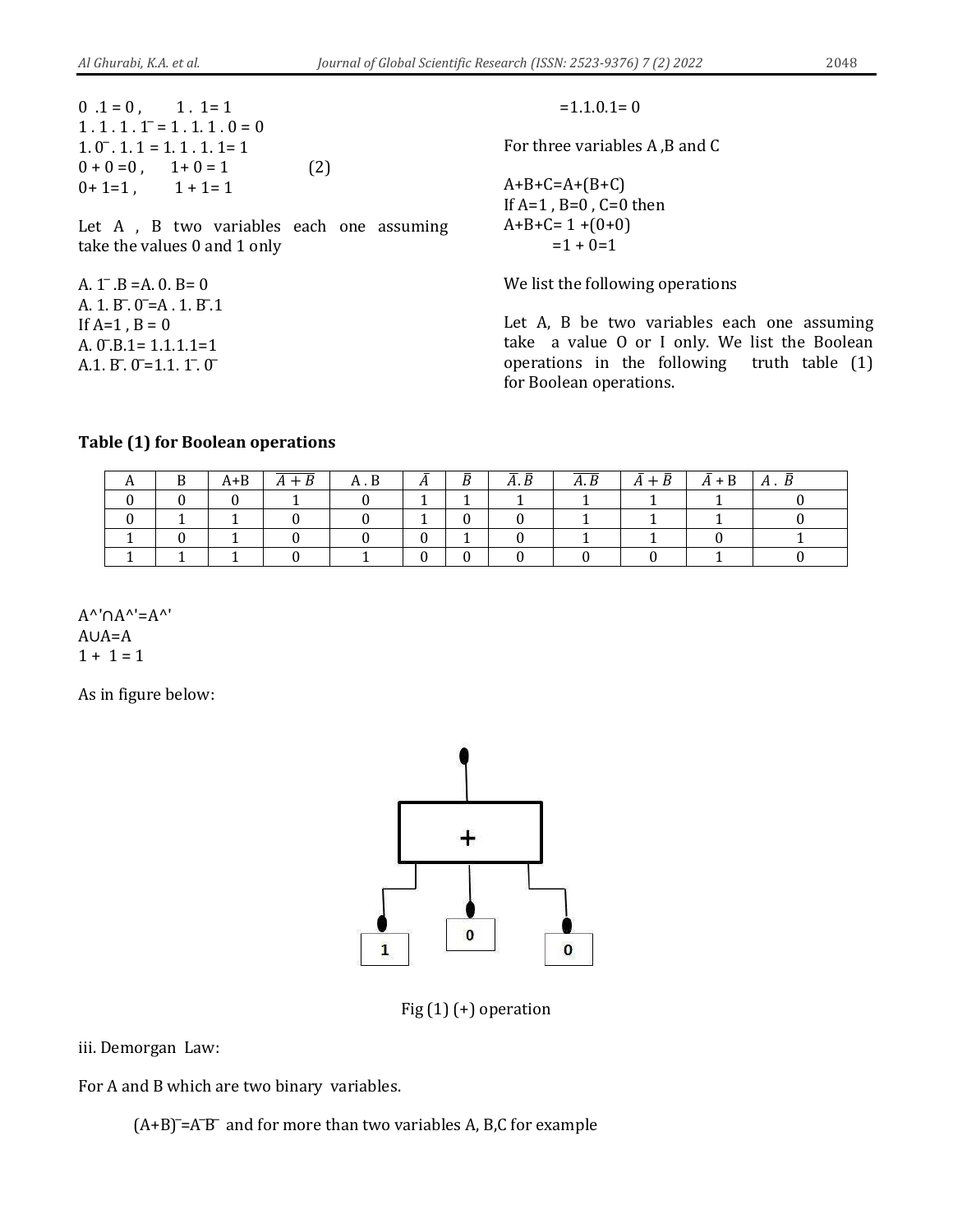$0 \t1 = 0$ ,  $1 \t1 = 1$  $1 \cdot 1 \cdot 1 \cdot 1 = 1 \cdot 1 \cdot 1 \cdot 0 = 0$  $1.0$ ,  $1.1 = 1.1$ ,  $1.1 = 1$  $0 + 0 = 0$ ,  $1 + 0 = 1$  (2)  $0+1=1$ ,  $1+1=1$ 

Let A, B two variables each one assuming take the values 0 and 1 only

A.  $1^-$ . B = A. 0. B = 0 A.  $1. B. 0 = A. 1. B. 1$ If  $A=1$ ,  $B=0$ A.  $0$ .B.1= 1.1.1.1=1 A.1. B.  $0 = 1.1$ .  $1 = 0$ 

 $=1.1.0.1=0$ 

For three variables A ,B and C

 $A+B+C=A+(B+C)$ If  $A=1$ ,  $B=0$ ,  $C=0$  then  $A+B+C=1+(0+0)$  $=1 + 0=1$ 

We list the following operations

Let A, B be two variables each one assuming take a value O or I only. We list the Boolean operations in the following truth table (1) for Boolean operations.

#### **Table (1) for Boolean operations**

|  | $A + B$ | $A + B$ | $A \cdot B$ | A | D | A.B | A.B | $\bar{A}+\bar{B}$ | $\bar{A}$ + B | $\Lambda$<br>$\overline{1}$ |
|--|---------|---------|-------------|---|---|-----|-----|-------------------|---------------|-----------------------------|
|  |         |         |             |   |   |     |     |                   |               |                             |
|  |         |         |             |   |   |     |     |                   |               |                             |
|  |         |         |             |   |   |     |     |                   |               |                             |
|  |         |         |             |   |   |     |     |                   |               |                             |

 $A^{\wedge}$ '∩ $A^{\wedge}$ '= $A^{\wedge}$ ' A∪A=A  $1 + 1 = 1$ 

As in figure below:



Fig  $(1)$  (+) operation

iii. Demorgan Law:

For A and B which are two binary variables.

 $(A+B) = A^T B$  and for more than two variables A, B,C for example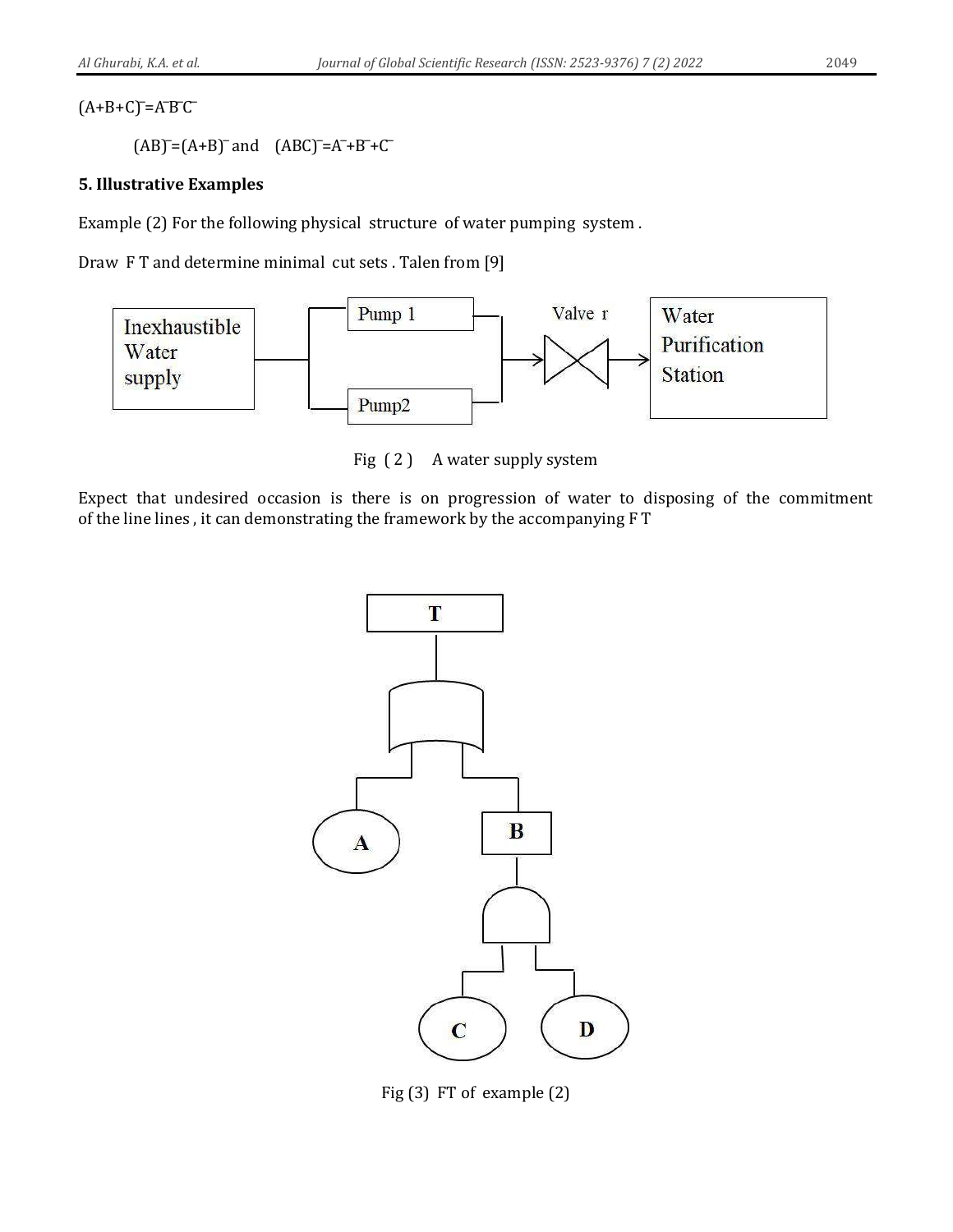# $(A+B+C)=A^{\top}B^{\top}C^{\top}$

 $(AB) = (A+B)^T$  and  $(ABC) = A^T+B^T+C^T$ 

# **5. Illustrative Examples**

Example (2) For the following physical structure of water pumping system .

Draw F T and determine minimal cut sets . Talen from [9]



Fig (2) A water supply system

Expect that undesired occasion is there is on progression of water to disposing of the commitment of the line lines , it can demonstrating the framework by the accompanying F T



Fig (3) FT of example (2)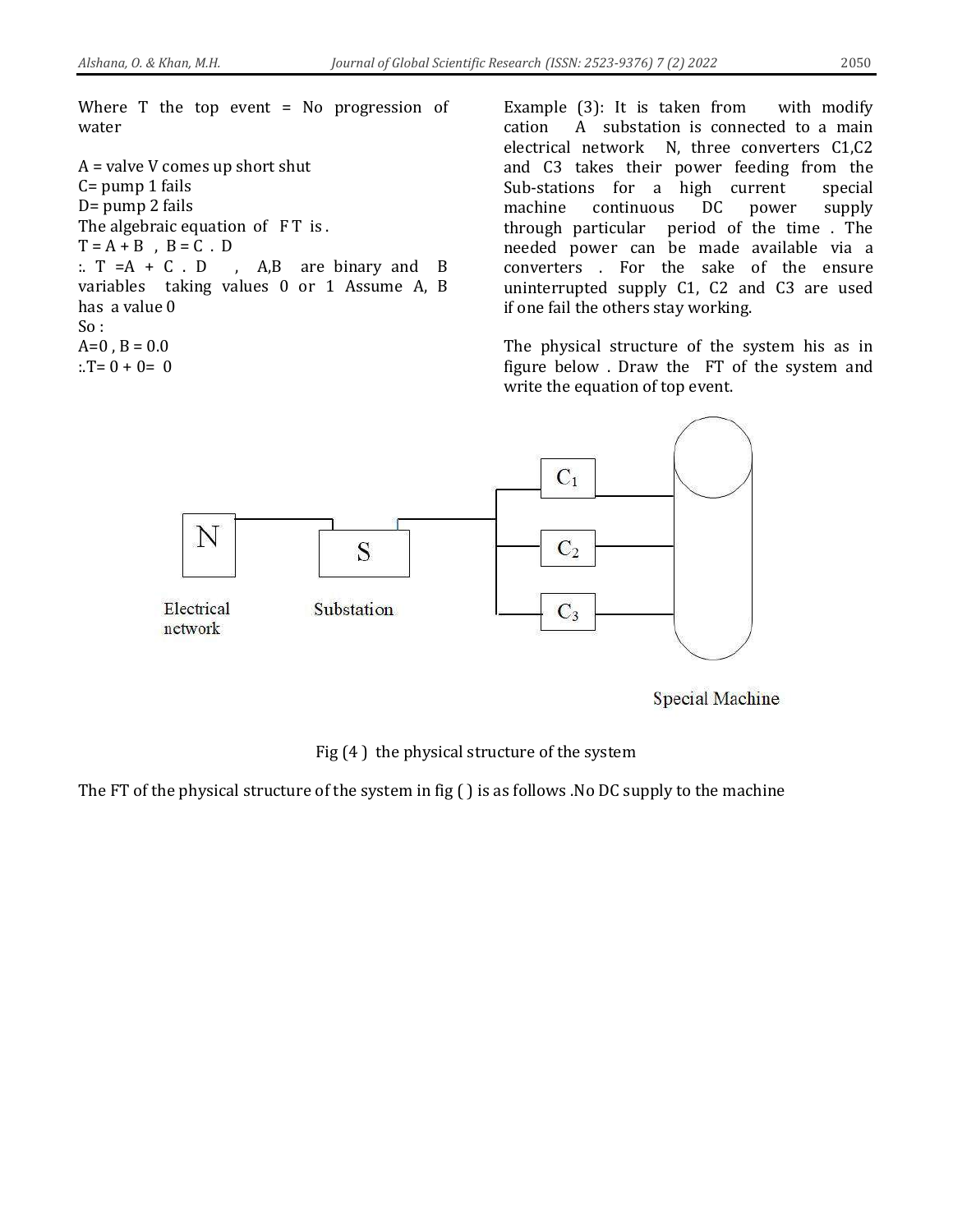A = valve V comes up short shut C= pump 1 fails D= pump 2 fails The algebraic equation of FT is.  $T = A + B$ ,  $B = C$ . D  $\therefore$  T = A + C  $\therefore$  D  $\therefore$  A, B are binary and B variables taking values 0 or 1 Assume A, B has a value 0 So :  $A=0$ ,  $B = 0.0$  $: T = 0 + 0 = 0$ 

Example (3): It is taken from with modify cation A substation is connected to a main electrical network N, three converters C1,C2 and C3 takes their power feeding from the Sub-stations for a high current special machine continuous DC power supply through particular period of the time . The needed power can be made available via a converters . For the sake of the ensure uninterrupted supply C1, C2 and C3 are used if one fail the others stay working.

The physical structure of the system his as in figure below . Draw the FT of the system and write the equation of top event.



Special Machine

Fig (4 ) the physical structure of the system

The FT of the physical structure of the system in fig ( ) is as follows .No DC supply to the machine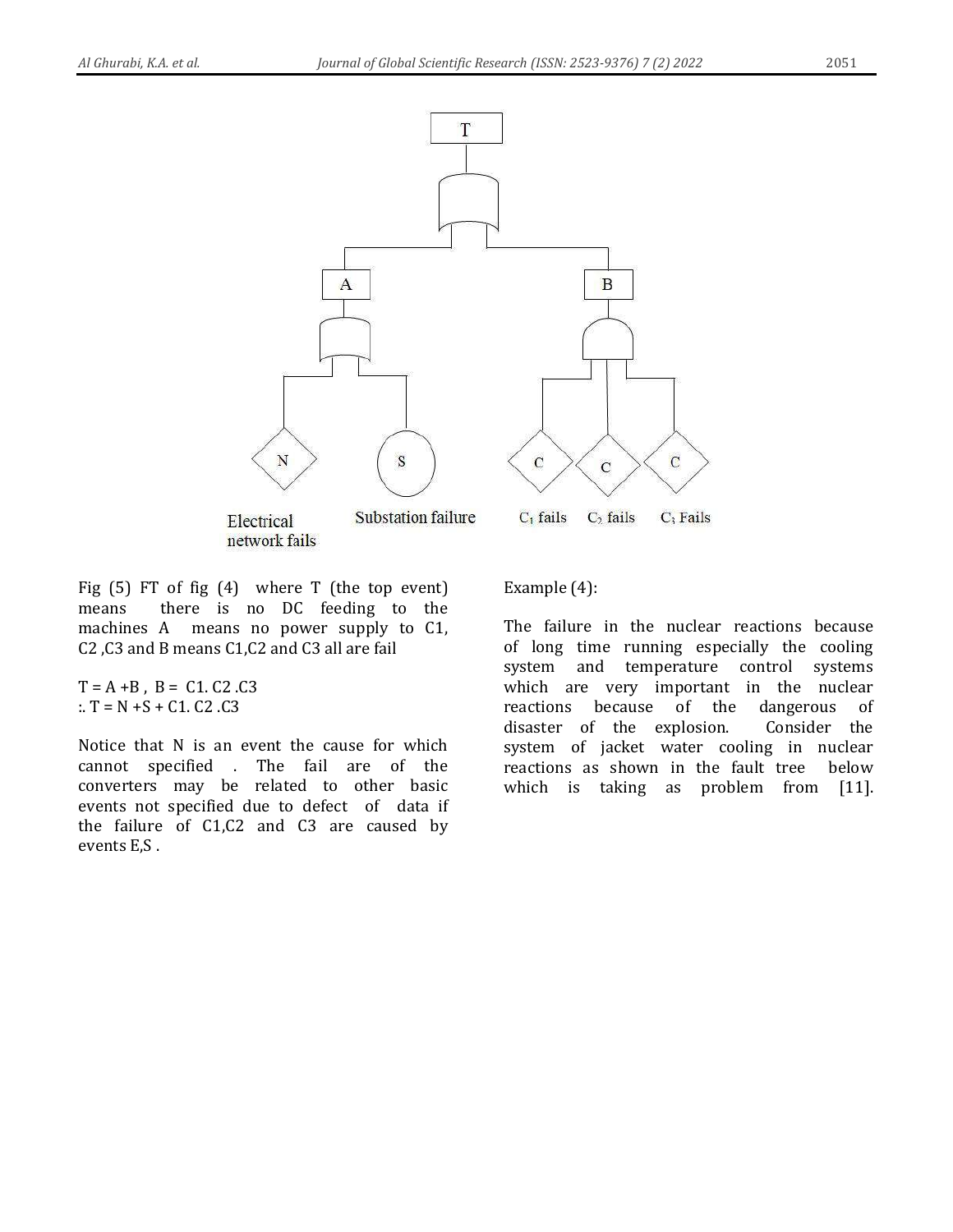

Fig (5) FT of fig (4) where T (the top event) means there is no DC feeding to the machines A means no power supply to C1, C2 ,C3 and B means C1,C2 and C3 all are fail

 $T = A + B$ ,  $B = C1$ .  $C2$ .  $C3$  $: T = N + S + C1$ . C2. C3

Notice that N is an event the cause for which cannot specified . The fail are of the converters may be related to other basic events not specified due to defect of data if the failure of C1,C2 and C3 are caused by events E,S .

Example (4):

The failure in the nuclear reactions because of long time running especially the cooling system and temperature control systems which are very important in the nuclear reactions because of the dangerous of disaster of the explosion. Consider the system of jacket water cooling in nuclear reactions as shown in the fault tree below which is taking as problem from [11].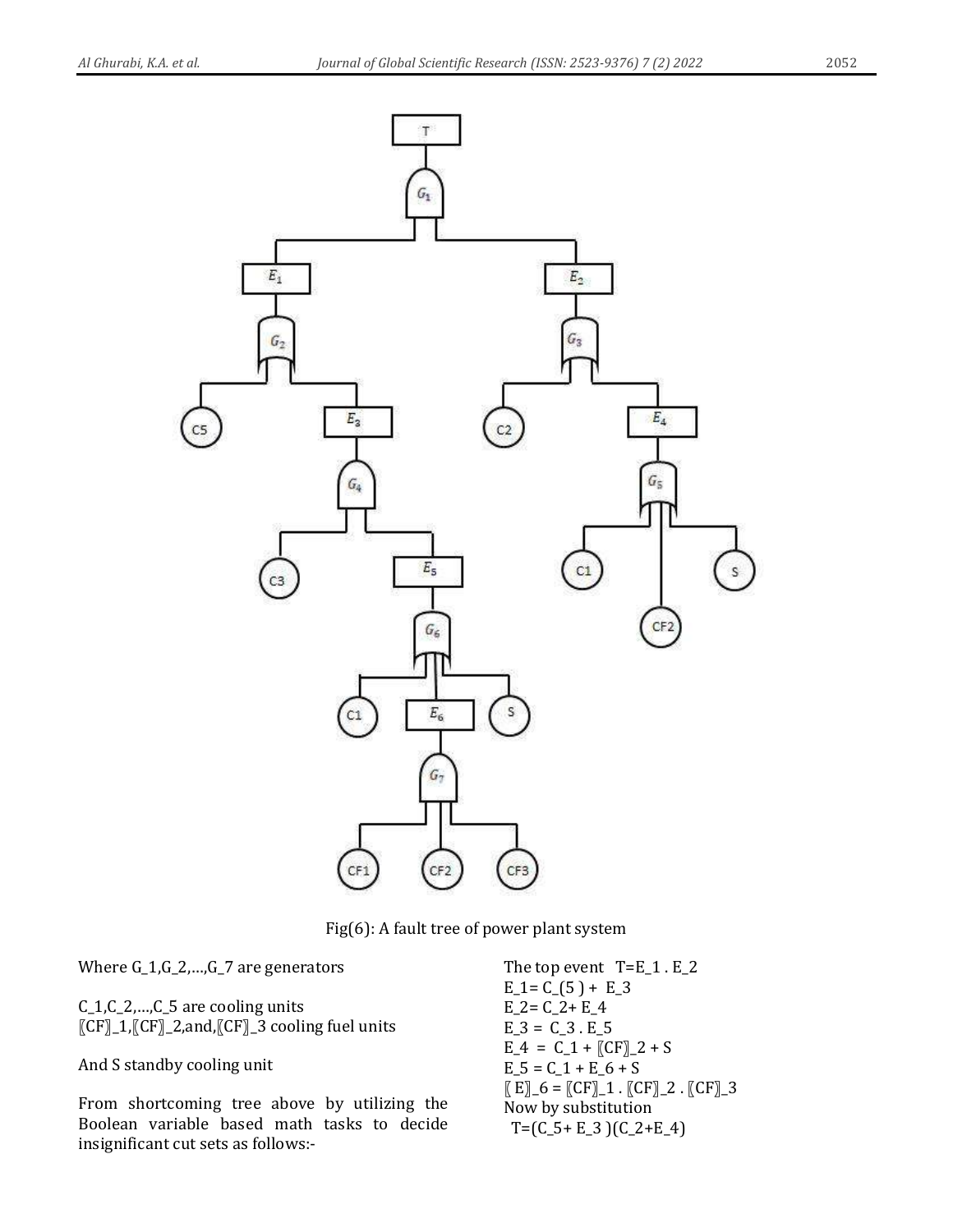

Fig(6): A fault tree of power plant system

Where G\_1,G\_2,…,G\_7 are generators

C\_1,C\_2,…,C\_5 are cooling units 〖CF〗\_1,〖CF〗\_2,and,〖CF〗\_3 cooling fuel units

And S standby cooling unit

From shortcoming tree above by utilizing the Boolean variable based math tasks to decide insignificant cut sets as follows:-

The top event T=E\_1 . E\_2  $E_1 = C_5$  +  $E_3$  $E_2 = C_2 + E_4$  $E_3 = C_3 . E_5$  $E_4 = C_1 + [CF]_2 + S$  $E_5 = C_1 + E_6 + S$  $[$ [ E] $_6 = [CF]_1$ .  $[CF]_2$ .  $[CF]_3$ Now by substitution  $T=(C_5+E_3)(C_2+E_4)$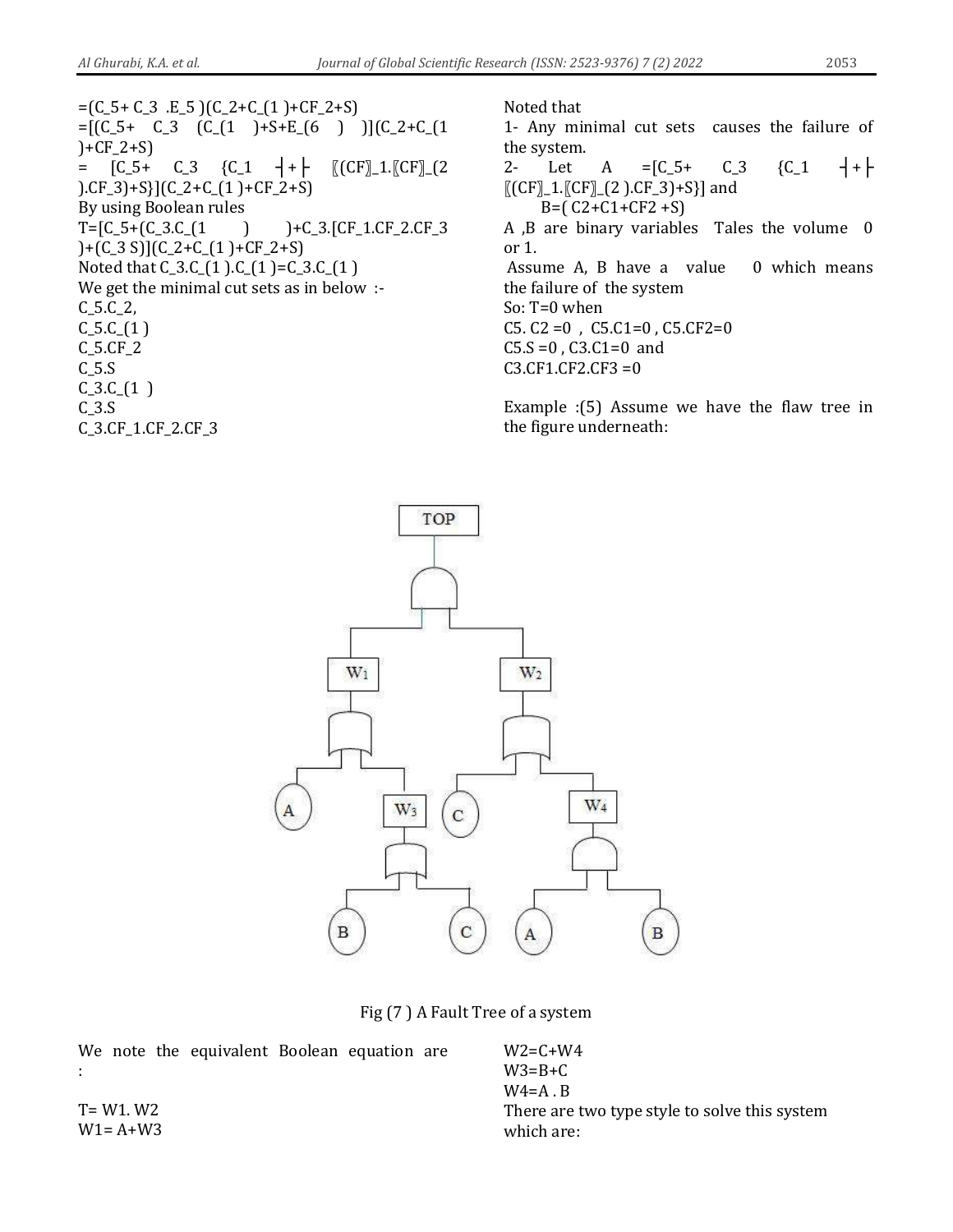$=(C_5+C_3$   $.E_5)(C_2+C_1)+CF_2+S$ =[(C\_5+ C\_3 (C\_(1 )+S+E\_(6 ) )](C\_2+C\_(1 )+CF\_2+S) = [C\_5+ C\_3 {C\_1 ┤+├ 〖(CF〗\_1.〖CF〗\_(2 ).CF\_3)+S}](C\_2+C\_(1 )+CF\_2+S) By using Boolean rules  $T=[C_5+(C_3.C_11)]+C_3.[CF_1.CF_2.CF_3]$ )+(C\_3 S)](C\_2+C\_(1 )+CF\_2+S) Noted that C\_3.C\_(1 ).C\_(1 )=C\_3.C\_(1 ) We get the minimal cut sets as in below :- C\_5.C\_2,  $C_5.C_11$ C\_5.CF\_2 C\_5.S C\_3.C\_(1 ) C\_3.S C\_3.CF\_1.CF\_2.CF\_3

Noted that

1- Any minimal cut sets causes the failure of the system. 2- Let A =[C\_5+ C\_3 {C\_1 - $[(CF]_{1}.[CF]_{2}.[2].CF_{3}]+S]$  and B=( C2+C1+CF2 +S) A ,B are binary variables Tales the volume 0 or 1. Assume A, B have a value 0 which means the failure of the system So: T=0 when C5. C2 = 0, C5. C1 = 0, C5. CF2 = 0 C5.S =0 , C3.C1=0 and C3.CF1.CF2.CF3 =0

Example :(5) Assume we have the flaw tree in the figure underneath:



Fig (7 ) A Fault Tree of a system

We note the equivalent Boolean equation are :

 $W2=C+W4$  $W3 = B + C$  $W4=A$ . B There are two type style to solve this system which are:

 $T = W1. W2$  $W1 = A+W3$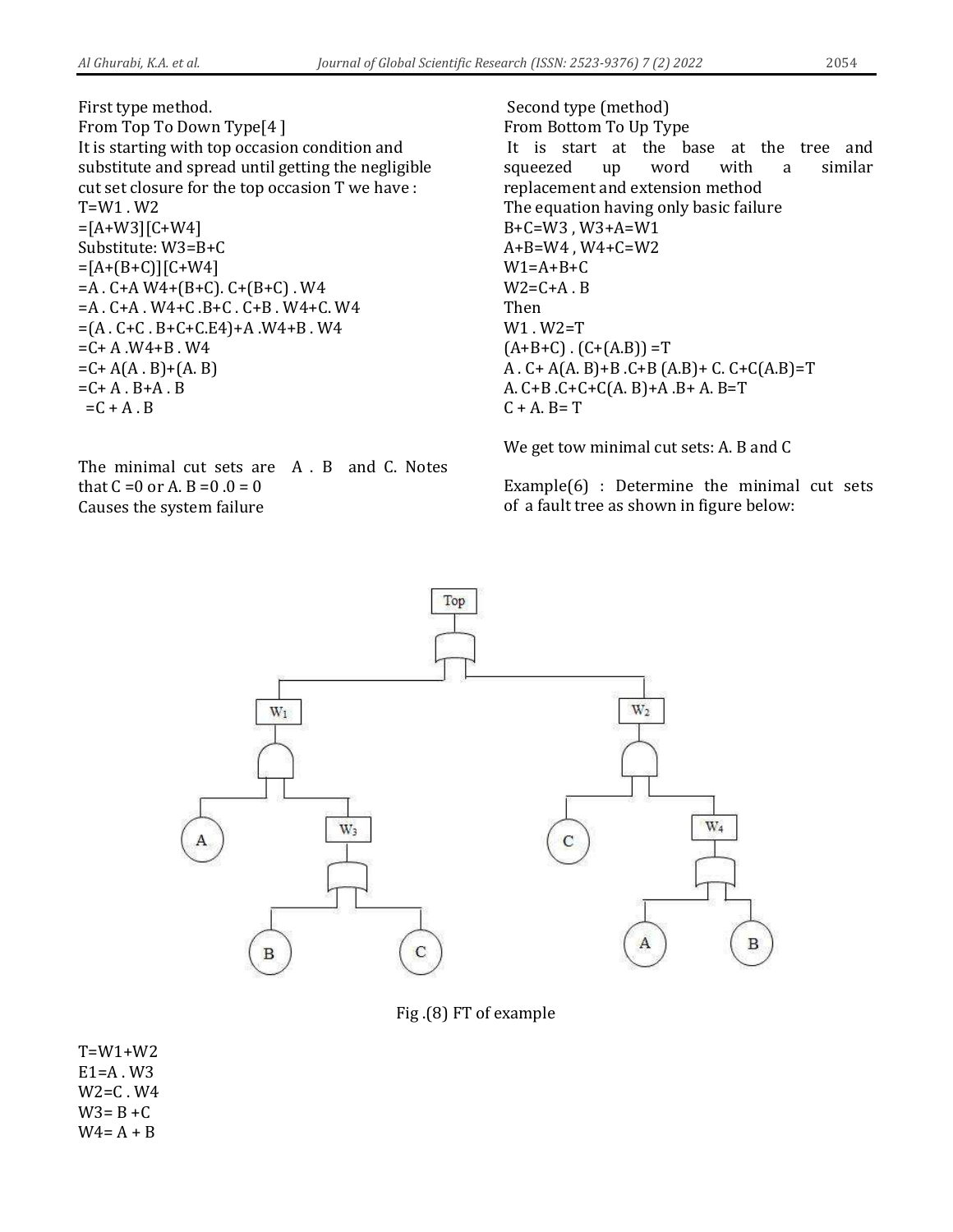First type method. From Top To Down Type[4 ] It is starting with top occasion condition and substitute and spread until getting the negligible cut set closure for the top occasion T we have : T=W1 . W2  $=[A+W3][C+W4]$ Substitute: W3=B+C  $=[A+(B+C)][C+W4]$  $=$ A. C+A W4+(B+C). C+(B+C). W4 =A . C+A . W4+C .B+C . C+B . W4+C. W4  $=(A \cdot C + C \cdot B + C + C \cdot E4) + A \cdot W4 + B \cdot W4$  $=C+ A .WA+B . WA$  $=C+ A(A \cdot B)+(A \cdot B)$  $=C + A \cdot B + A \cdot B$  $=C + A$ . B

The minimal cut sets are A . B and C. Notes that  $C = 0$  or A.  $B = 0.0 = 0$ Causes the system failure

Second type (method) From Bottom To Up Type It is start at the base at the tree and squeezed up word with a similar replacement and extension method The equation having only basic failure B+C=W3 , W3+A=W1 A+B=W4 , W4+C=W2  $W1 = A + B + C$  $W2 = C + A$ . B Then W1 . W2=T  $(A+B+C)$ .  $(C+(A.B))$  = T A .  $C+ A(A, B)+B$  .  $C+B(A,B)+C$ .  $C+C(A,B)=T$ A. C+B .C+C+C(A. B)+A .B+ A. B=T  $C + A$ . B= T

We get tow minimal cut sets: A. B and C

Example(6) : Determine the minimal cut sets of a fault tree as shown in figure below:





T=W1+W2  $E1=A$ . W3  $W2=C$ .  $W4$  $W3 = B + C$  $W4 = A + B$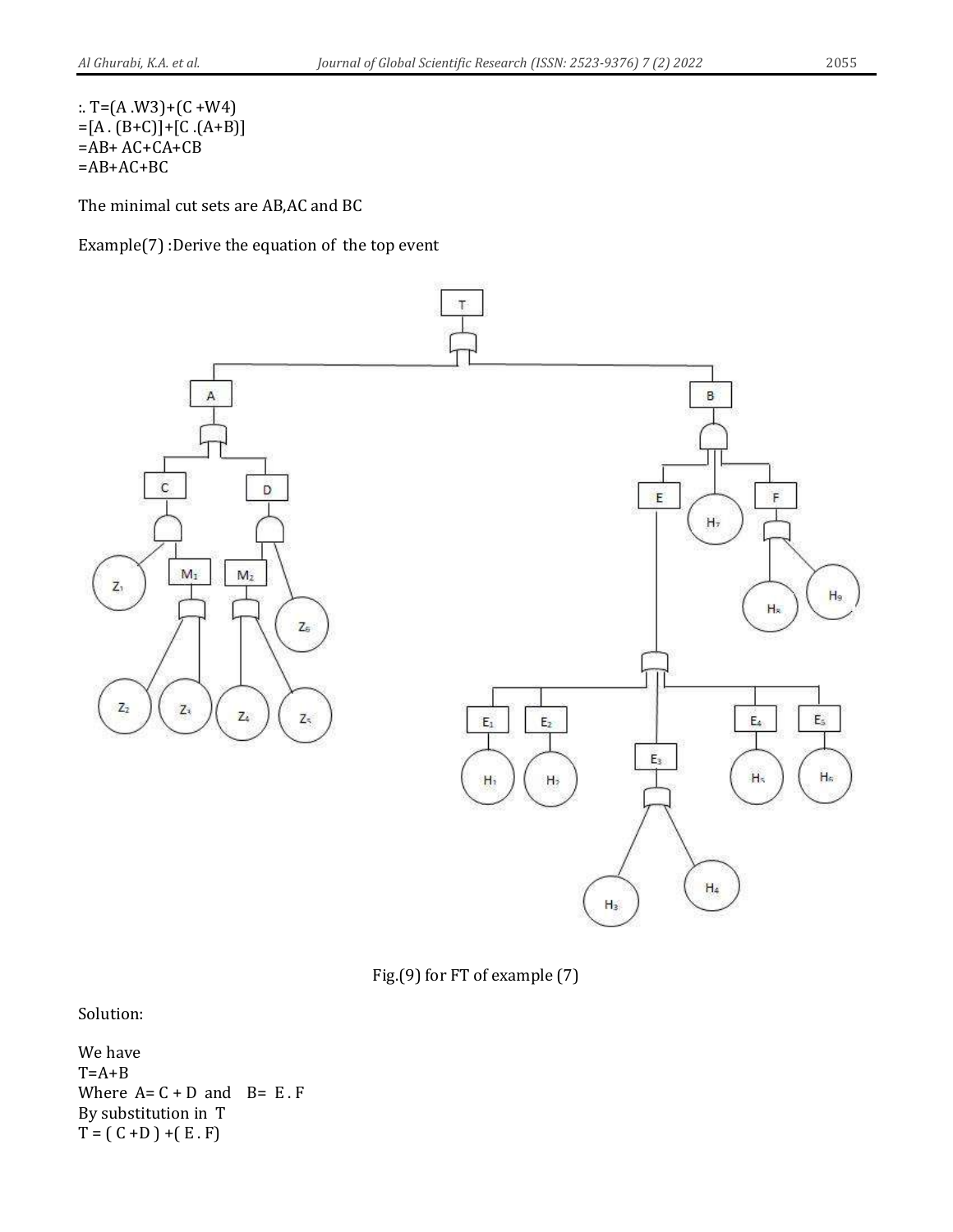The minimal cut sets are AB,AC and BC

Example(7) :Derive the equation of the top event



Fig.(9) for FT of example (7)

Solution:

We have  $T=A+B$ Where  $A = C + D$  and  $B = E \cdot F$ By substitution in T  $T = (C + D) + (E.F)$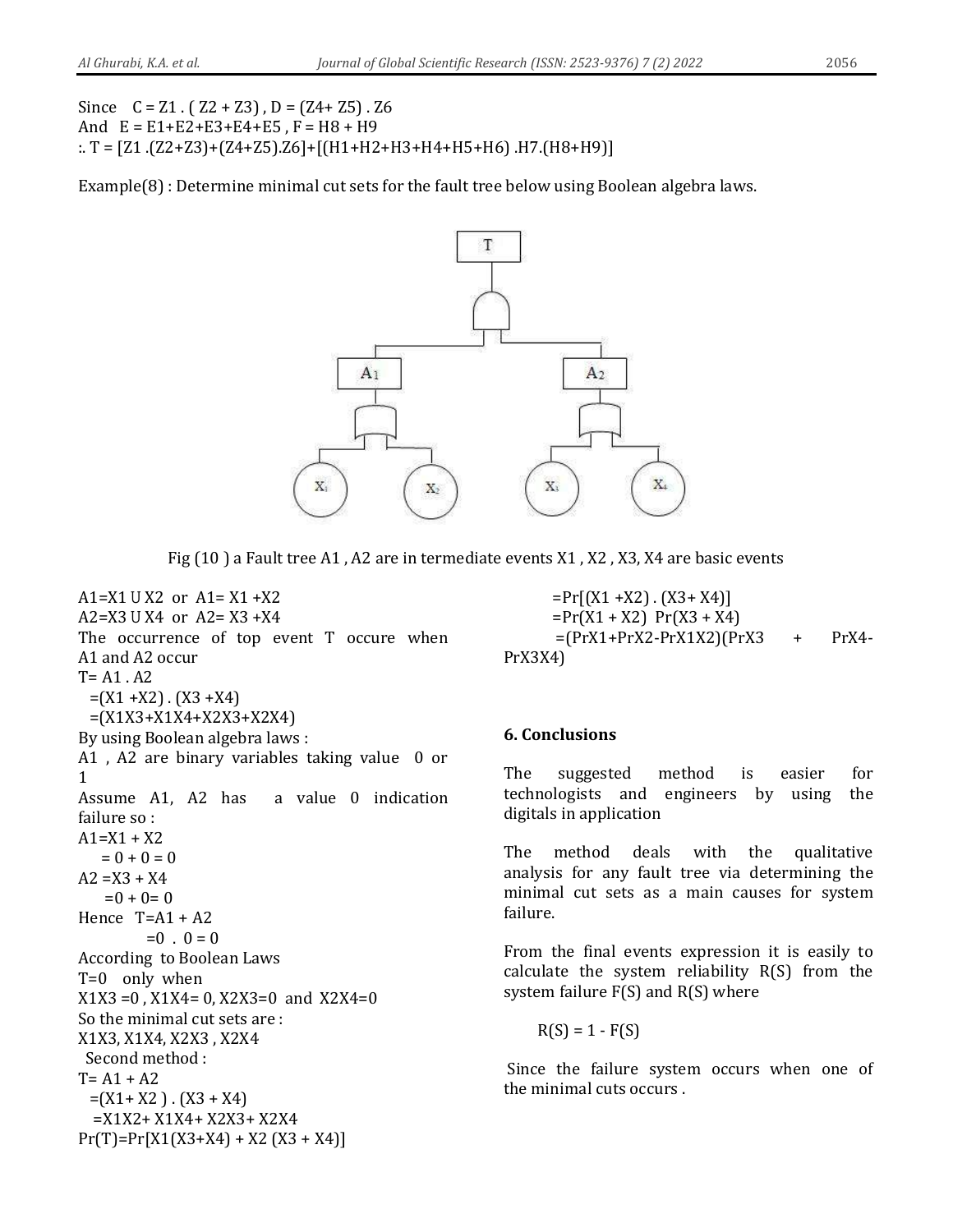Since  $C = Z1$ .  $(Z2 + Z3)$ ,  $D = (Z4 + Z5)$ .  $Z6$ And E = E1+E2+E3+E4+E5 , F = H8 + H9 :. T = [Z1 .(Z2+Z3)+(Z4+Z5).Z6]+[(H1+H2+H3+H4+H5+H6) .H7.(H8+H9)]

Example(8) : Determine minimal cut sets for the fault tree below using Boolean algebra laws.



Fig (10 ) a Fault tree A1 , A2 are in termediate events X1 , X2 , X3, X4 are basic events

A1=X1  $UX2$  or  $A1 = X1 + X2$ A2=X3  $U X4$  or A2=X3 +X4 The occurrence of top event T occure when A1 and A2 occur  $T = A1$ . A2  $=(X1 + X2)$ .  $(X3 + X4)$  =(X1X3+X1X4+X2X3+X2X4) By using Boolean algebra laws : A1 , A2 are binary variables taking value 0 or 1 Assume A1, A2 has a value 0 indication failure so :  $A1 = X1 + X2$  $= 0 + 0 = 0$  $A2 = X3 + X4$  $=0 + 0 = 0$ Hence  $T=A1 + A2$  $=0$  .  $0 = 0$ According to Boolean Laws T=0 only when X1X3 =0 , X1X4= 0, X2X3=0 and X2X4=0 So the minimal cut sets are : X1X3, X1X4, X2X3 , X2X4 Second method :  $T = A1 + A2$  $=(X1+X2)$ .  $(X3+X4)$  =X1X2+ X1X4+ X2X3+ X2X4  $Pr(T) = Pr[X1(X3+X4) + X2 (X3 + X4)]$ 

 $=Pr[(X1 + X2) \cdot (X3 + X4)]$  $=Pr(X1 + X2) Pr(X3 + X4)$  =(PrX1+PrX2-PrX1X2)(PrX3 + PrX4- PrX3X4)

## **6. Conclusions**

The suggested method is easier for technologists and engineers by using the digitals in application

The method deals with the qualitative analysis for any fault tree via determining the minimal cut sets as a main causes for system failure.

From the final events expression it is easily to calculate the system reliability R(S) from the system failure F(S) and R(S) where

 $R(S) = 1 - F(S)$ 

Since the failure system occurs when one of the minimal cuts occurs .